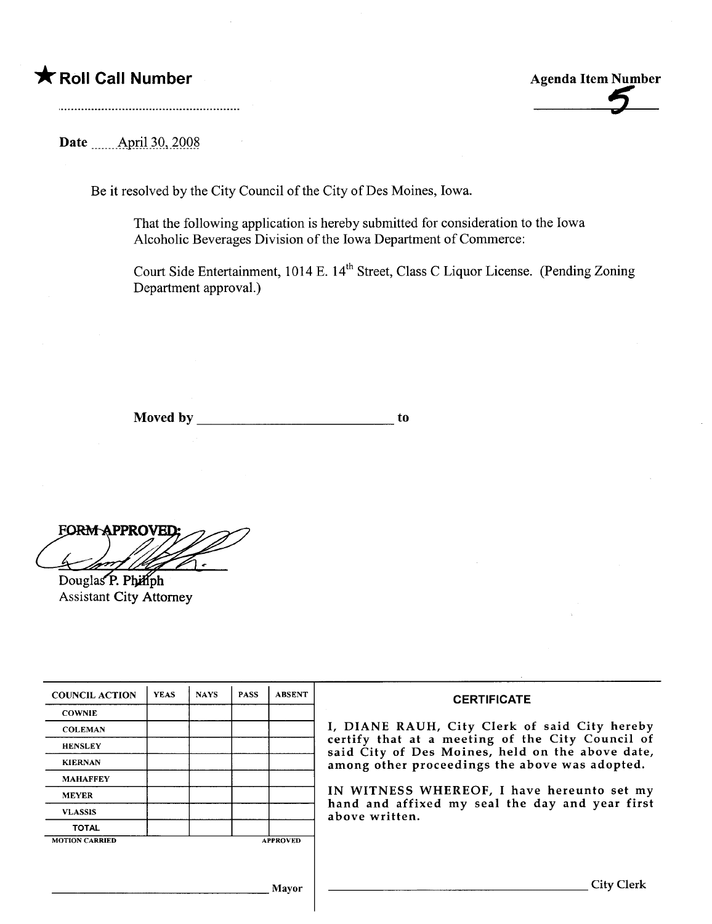

Date \_\_.\_\_\_\_Ap-ri-i~.Q,)QQ~

Be it resolved by the City Council of the City of Des Moines, Iowa.

That the following application is hereby submitted for consideration to the Iowa Alcoholic Beverages Division of the Iowa Department of Commerce:

Court Side Entertainment, 1014 E. 14<sup>th</sup> Street, Class C Liquor License. (Pending Zoning Department approval.)

Moved by to the contract of the contract of the contract of the contract of the contract of the contract of the contract of the contract of the contract of the contract of the contract of the contract of the contract of th

**FORM APPROVED:** 

Douglas P. Philiph **Assistant City Attorney** 

| <b>COUNCIL ACTION</b> | <b>YEAS</b> | <b>NAYS</b> | <b>PASS</b> | <b>ABSENT</b>   | <b>CERTIFICATE</b>                                                                                                                                    |  |
|-----------------------|-------------|-------------|-------------|-----------------|-------------------------------------------------------------------------------------------------------------------------------------------------------|--|
| <b>COWNIE</b>         |             |             |             |                 |                                                                                                                                                       |  |
| <b>COLEMAN</b>        |             |             |             |                 | I, DIANE RAUH, City Clerk of said City hereby<br>certify that at a meeting of the City Council of<br>said City of Des Moines, held on the above date, |  |
| <b>HENSLEY</b>        |             |             |             |                 |                                                                                                                                                       |  |
| <b>KIERNAN</b>        |             |             |             |                 | among other proceedings the above was adopted.                                                                                                        |  |
| <b>MAHAFFEY</b>       |             |             |             |                 |                                                                                                                                                       |  |
| <b>MEYER</b>          |             |             |             |                 | IN WITNESS WHEREOF, I have hereunto set my<br>hand and affixed my seal the day and year first                                                         |  |
| <b>VLASSIS</b>        |             |             |             |                 | above written.                                                                                                                                        |  |
| <b>TOTAL</b>          |             |             |             |                 |                                                                                                                                                       |  |
| <b>MOTION CARRIED</b> |             |             |             | <b>APPROVED</b> |                                                                                                                                                       |  |
|                       |             |             |             |                 |                                                                                                                                                       |  |
|                       |             |             |             |                 |                                                                                                                                                       |  |
|                       |             |             |             | Mavor           | <b>City Clerk</b>                                                                                                                                     |  |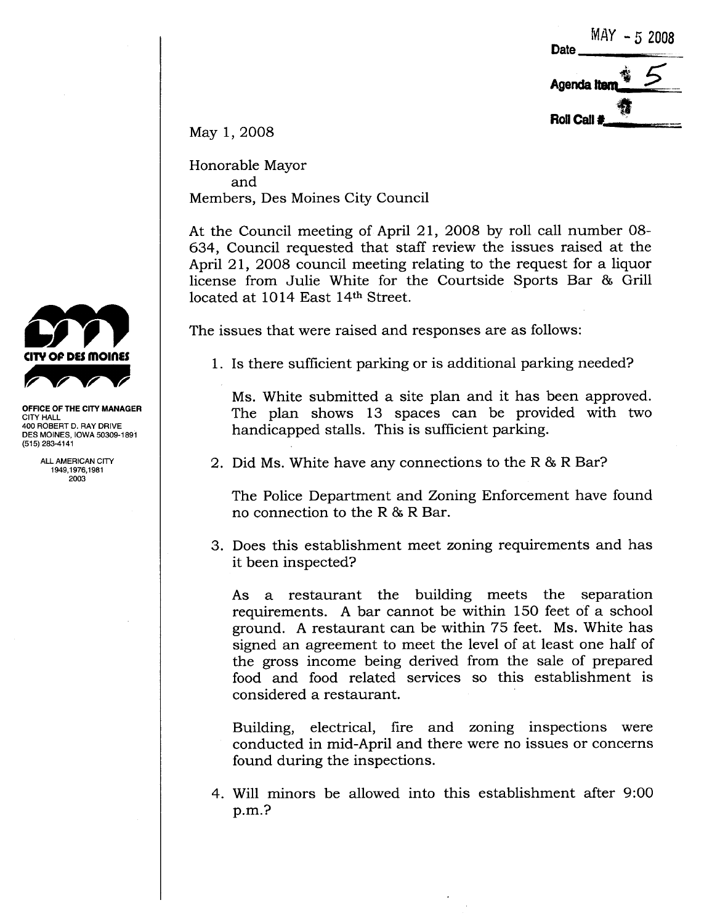**Date**  $MAY - 52008$ . 4f' Agenda Item $\frac{1}{\sqrt{2}}$ <br>Roll Call #  $\overline{5}$ 

May 1, 2008

Honorable Mayor and Members, Des Moines City Council

At the Council meeting of April 21, 2008 by roll call number 08- 634, Council requested that staff review the issues raised at the April 21, 2008 council meeting relating to the request for a liquor license from Julie White for the Courtside Sports Bar & Gril located at 1014 East 14th Street.

The issues that were raised and responses are as follows:

1. Is there sufficient parking or is additional parking needed?

Ms. White submitted a site plan and it has been approved. The plan shows 13 spaces can be provided with two handicapped stalls. This is sufficient parking.

2. Did Ms. White have any connections to the R & R Bar?

The Police Department and Zoning Enforcement have found no connection to the R & R Bar.

3. Does this establishment meet zoning requirements and has it been inspected?

As a restaurant the building meets the separation requirements. A bar cannot be within 150 feet of a school ground. A restaurant can be within 75 feet. Ms. White has signed an agreement to meet the level of at least one half of the gross income being derived from the sale of prepared food and food related services so this establishment is considered a restaurant.

Building, electrical, fire and zoning inspections were conducted in mid-April and there were no issues or concerns found during the inspections.

4. Will minors be allowed into this establishment after 9:00 p.m.?



OFFICE OF THE CITY MANAGER CITY HALL 400 ROBERT D. RAY DRIVE DES MOINES, IOWA 50309-1891 (515) 283-4141

> ALL AMERICAN CITY 1949,1976,1981 2003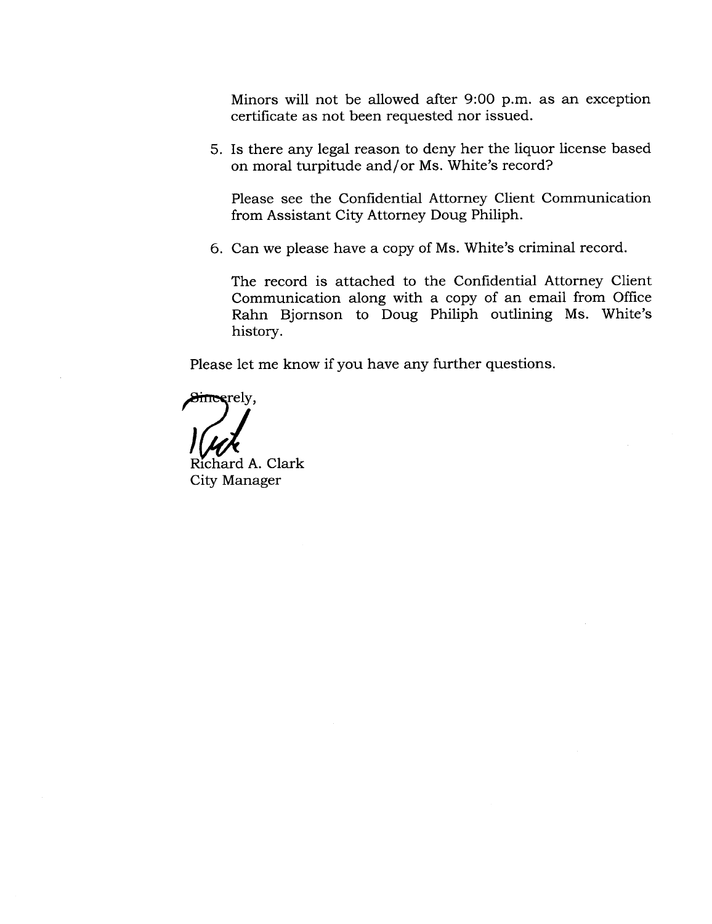Minors will not be allowed after 9:00 p.m. as an exception certificate as not been requested nor issued.

5. Is there any legal reason to deny her the liquor license based on moral turpitude and/or Ms. White's record?

Please see the Confidential Attorney Client Communication from Assistant City Attorney Doug Philiph.

6. Can we please have a copy of Ms. White's criminal record.

The record is attached to the Confidential Attorney Client Communication along with a copy of an email from Office Rahn Bjornson to Doug Philiph outlining Ms. White's history.

Please let me know if you have any further questions.

erely,<br>and A. Clark<br>Richard A. Clark

City Manager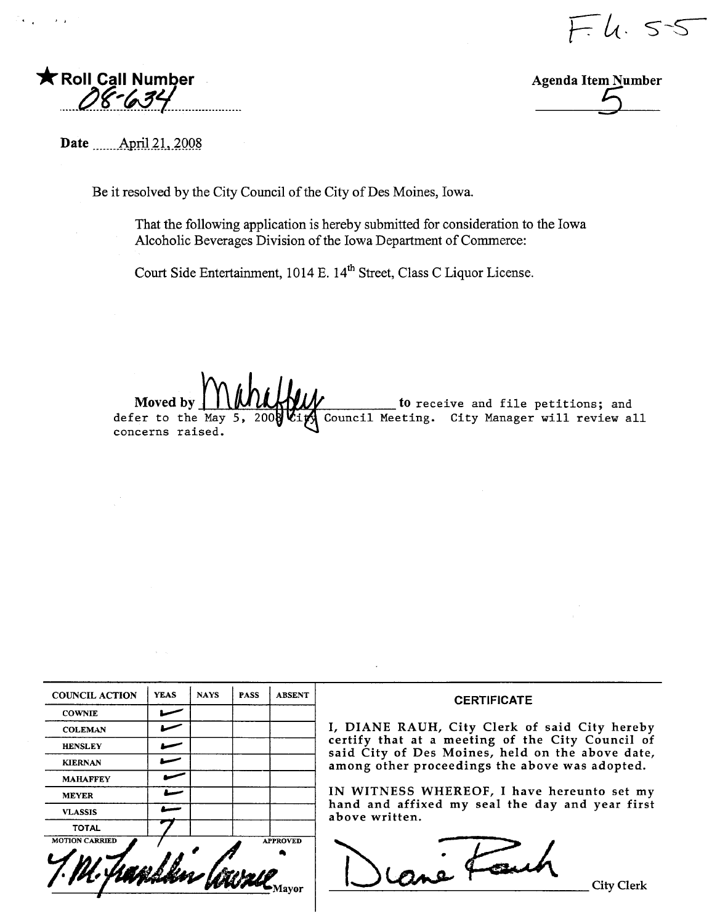$-4.55$ 



 $\rightarrow$ 



Date <u>April 21</u>, 2008

Be it resolved by the City Council of the City of Des Moines, Iowa.

That the following application is hereby submitted for consideration to the Iowa Alcoholic Beverages Division of the Iowa Department of Commerce:

Court Side Entertainment, 1014 E. 14<sup>th</sup> Street, Class C Liquor License.

to receive and file petitions; and<br>Council Meeting. City Manager will review all Moved b defer to the May concerns raised.

| <b>COUNCIL ACTION</b> | <b>YEAS</b> | <b>NAYS</b> | <b>PASS</b> | <b>ABSENT</b>   |
|-----------------------|-------------|-------------|-------------|-----------------|
| <b>COWNIE</b>         |             |             |             |                 |
| <b>COLEMAN</b>        |             |             |             |                 |
| <b>HENSLEY</b>        |             |             |             |                 |
| <b>KIERNAN</b>        |             |             |             |                 |
| <b>MAHAFFEY</b>       |             |             |             |                 |
| <b>MEYER</b>          |             |             |             |                 |
| <b>VLASSIS</b>        |             |             |             |                 |
| <b>TOTAL</b>          |             |             |             |                 |
| <b>MOTION CARRIED</b> |             |             |             | <b>APPROVED</b> |

Mavor

### **CERTIFICATE**

I, DIANE RAUH, City Clerk of said City hereby certify that at a meeting of the City Council of<br>said City of Des Moines, held on the above date, among other proceedings the above was adopted.

IN WITNESS WHEREOF, I have hereunto set my hand and affixed my seal the day and year first above written.

rané Faut

**City Clerk**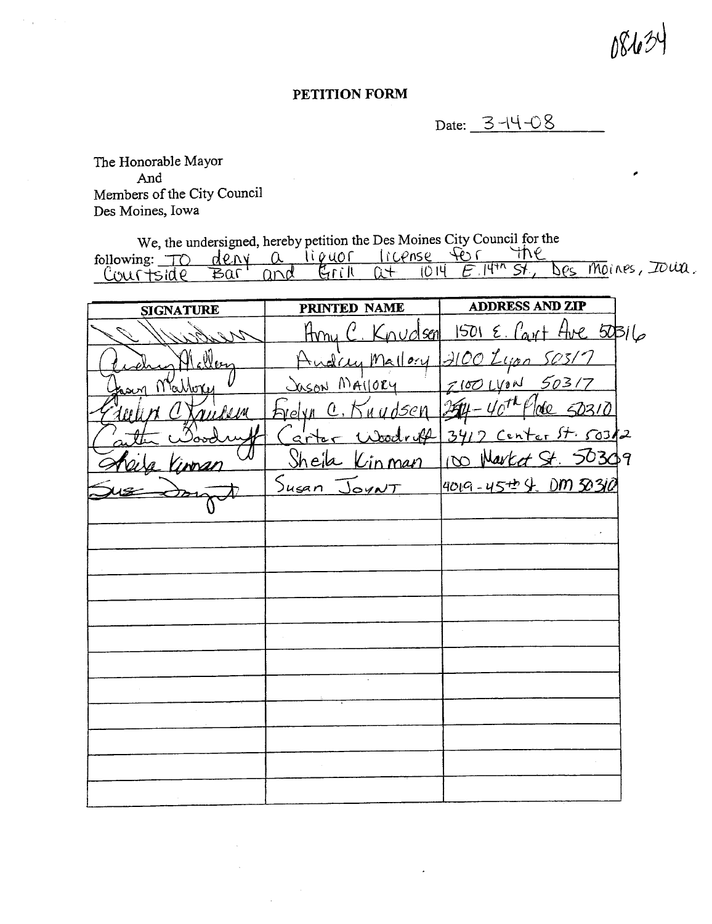## PETITION FORM

Date: 3-14-08

The Honorable Mayor And Members of the City Council Des Moines, Iowa

We, the undersigned, hereby petition the Des Moines City Council for the<br>following:  $\underline{\uparrow} \circ \underline{\uparrow} \circ \underline{\uparrow} \circ \underline{\uparrow} \circ \underline{\uparrow} \circ \underline{\uparrow} \circ \underline{\uparrow} \circ \underline{\uparrow} \circ \underline{\uparrow} \circ \underline{\uparrow} \circ \underline{\uparrow} \circ \underline{\uparrow} \circ \underline{\uparrow} \circ \underline{\uparrow} \circ \underline{\uparrow} \circ \underline{\uparrow} \circ \underline{\uparrow} \$ Des Moines, Jour.

| <b>SIGNATURE</b> | PRINTED NAME  | <b>ADDRESS AND ZIP</b>                            |  |
|------------------|---------------|---------------------------------------------------|--|
| Willis           |               | Hony C. Knudsen 1501 E. Cart Ave 50316            |  |
| Al eller         |               | Andrey Mallory 12100 Lyon 50317                   |  |
| Mattera          | Jason Mailory | $7100$ LYON 50317                                 |  |
| nulum            |               | relyn C. Knydsen 254-40 <sup>th</sup> Plote 50310 |  |
|                  |               | Carter Woodroff 3417 Center St. 503/2             |  |
|                  |               | Sheila Kinman Ino Narted St 50309                 |  |
|                  | Susan JoyNT   | 4019-45 <sup>++</sup> 4. DM 50310                 |  |
|                  |               |                                                   |  |
|                  |               |                                                   |  |
|                  |               |                                                   |  |
|                  |               |                                                   |  |
|                  |               |                                                   |  |
|                  |               |                                                   |  |
|                  |               |                                                   |  |
|                  |               |                                                   |  |
|                  |               |                                                   |  |
|                  |               |                                                   |  |
|                  |               |                                                   |  |
|                  |               |                                                   |  |
|                  |               |                                                   |  |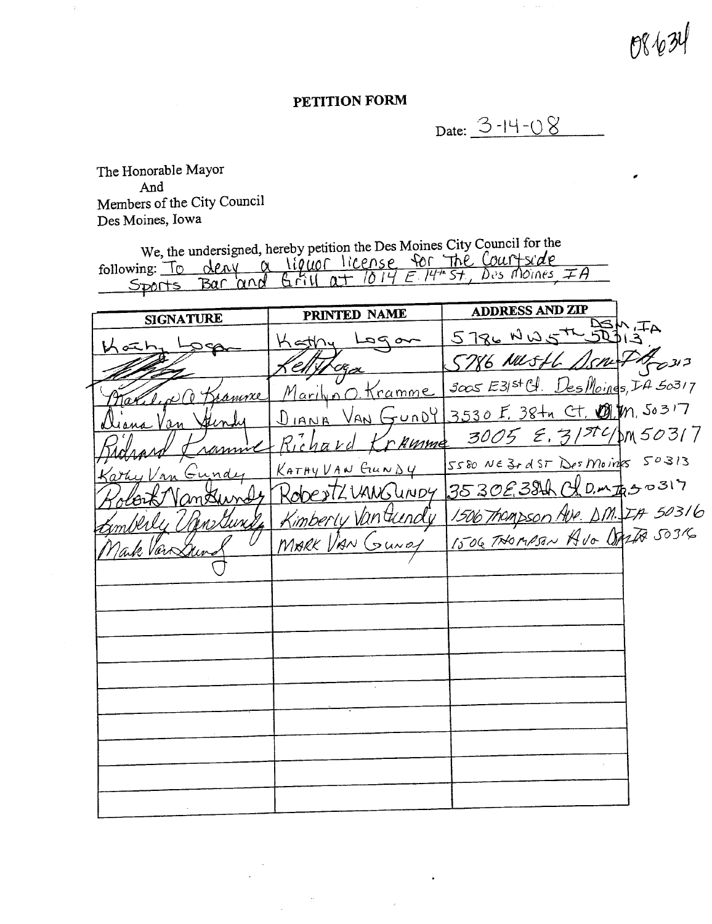$P\%$ 

## PETITION FORM

Date: 3-14-08

The Honorable Mayor And Members of the City Council Des Moines, Iowa

We, the undersigned, hereby petition the Des Moines City Council for the<br>following: To deay a liquor license for The Court side<br>Sports Bar and Grill at 1014 E 14th St, Des Moines, IA

| <b>SIGNATURE</b>                | PRINTED NAME          | <b>ADDRESS AND ZIP</b>                                    |
|---------------------------------|-----------------------|-----------------------------------------------------------|
| いベト                             | $-a$ $p$ al<br>Kathy  | 5786 NWSTR 524,74                                         |
|                                 |                       | 5786 NUSH SSNA PREDIS                                     |
| led C Bramme                    | Maril no Kramme       | $3005$ $E3/5$ <sup>+</sup> $Cl.$ Des Moines, $L4$ $50317$ |
| <u>Alinh</u><br><u>iana Van</u> |                       | DIANA VAN GUNDY 3530 F. 38tn Ct. OMM. 50317               |
| ramme                           | Richard Krumme        | $3005$ $\epsilon$ , $31^{51}$ $\frac{1}{10}$ 50317        |
| Karty Van Gundy                 | <u>KATAYVAN GUNDY</u> | 5580 NE 3+ d ST Des Moins 50313                           |
| Hort Vantunds                   |                       | RobertZUANGUNDY 3530E38th CLD. mtgs=317                   |
| nberly Unewstand                |                       | Kimberly Vantuendy 1506 Thompson Ave. D.M. IA 50316       |
| Make Van Dun                    | MARK VAN GUNDY        | 1506 THOMASAN AVO DALTA 50316                             |
|                                 |                       |                                                           |
|                                 |                       |                                                           |
|                                 |                       |                                                           |
|                                 |                       |                                                           |
|                                 |                       |                                                           |
|                                 |                       |                                                           |
|                                 |                       |                                                           |
|                                 |                       |                                                           |
|                                 |                       |                                                           |
|                                 |                       |                                                           |

 $\ddot{\phantom{a}}$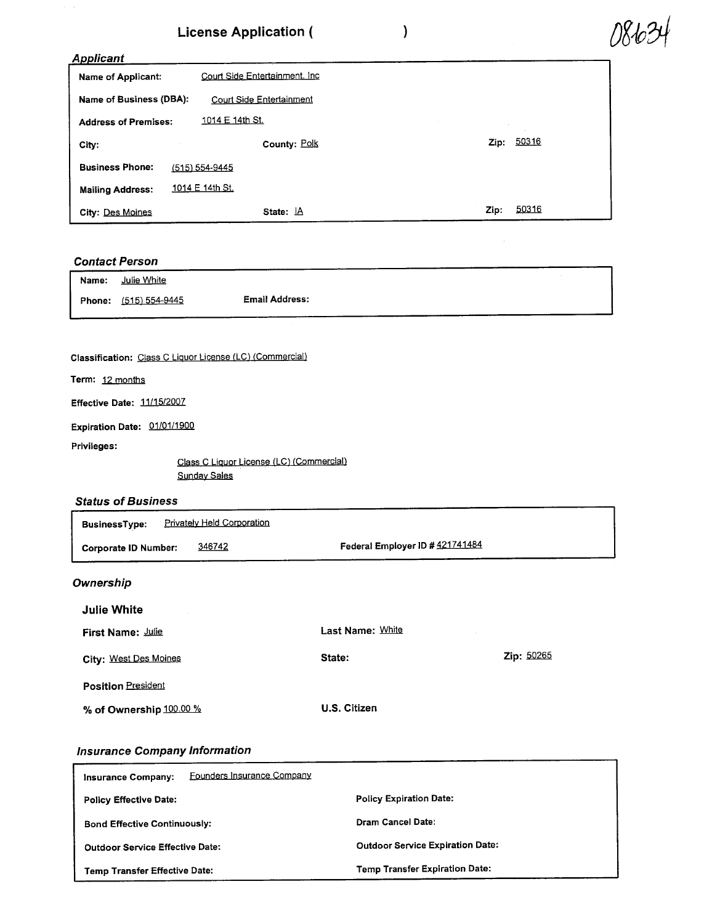## License Application ( )

| 081034 |
|--------|
|--------|

| <b>Applicant</b>            |                                |      |       |
|-----------------------------|--------------------------------|------|-------|
| Name of Applicant:          | Court Side Entertainment. Inc. |      |       |
| Name of Business (DBA):     | Court Side Entertainment       |      |       |
| <b>Address of Premises:</b> | 1014 E 14th St.                |      |       |
| City.                       | County: Polk                   | Zip: | 50316 |
| <b>Business Phone:</b>      | $(515) 554 - 9445$             |      |       |
| <b>Mailing Address:</b>     | 1014 E 14th St.                |      |       |
| City: Des Moines            | State: IA                      | Zip: | 50316 |

## Contact Person

| Name: | Julie White           |                       |  |
|-------|-----------------------|-----------------------|--|
|       | Phone: (515) 554-9445 | <b>Email Address:</b> |  |

## Classification: Class C Liquor License (LC) (Commercial)

Term: 12 months

Effective Date: 11/15/2007

Expiration Date: 01/01/1900

Privileges:

Class C Liquor License (LC) (Commercial) Sundav Sales

## Status of Business

| <b>BusinessType:</b>        | <u>Privately Held Corporation</u> |                                 |
|-----------------------------|-----------------------------------|---------------------------------|
| <b>Corporate ID Number:</b> | 346742                            | Federal Employer ID # 421741484 |
|                             |                                   |                                 |

## **Ownership**

| Julie White               |                  |                   |
|---------------------------|------------------|-------------------|
| First Name: Julie         | Last Name: White |                   |
| City: West Des Moines     | State:           | <b>Zip: 50265</b> |
| <b>Position President</b> |                  |                   |
| % of Ownership 100.00 %   | U.S. Citizen     |                   |

## Insurance Company Information

| Founders Insurance Company<br>Insurance Company: |                                         |
|--------------------------------------------------|-----------------------------------------|
| <b>Policy Effective Date:</b>                    | <b>Policy Expiration Date:</b>          |
| <b>Bond Effective Continuously:</b>              | Dram Cancel Date:                       |
| <b>Outdoor Service Effective Date:</b>           | <b>Outdoor Service Expiration Date:</b> |
| <b>Temp Transfer Effective Date:</b>             | <b>Temp Transfer Expiration Date:</b>   |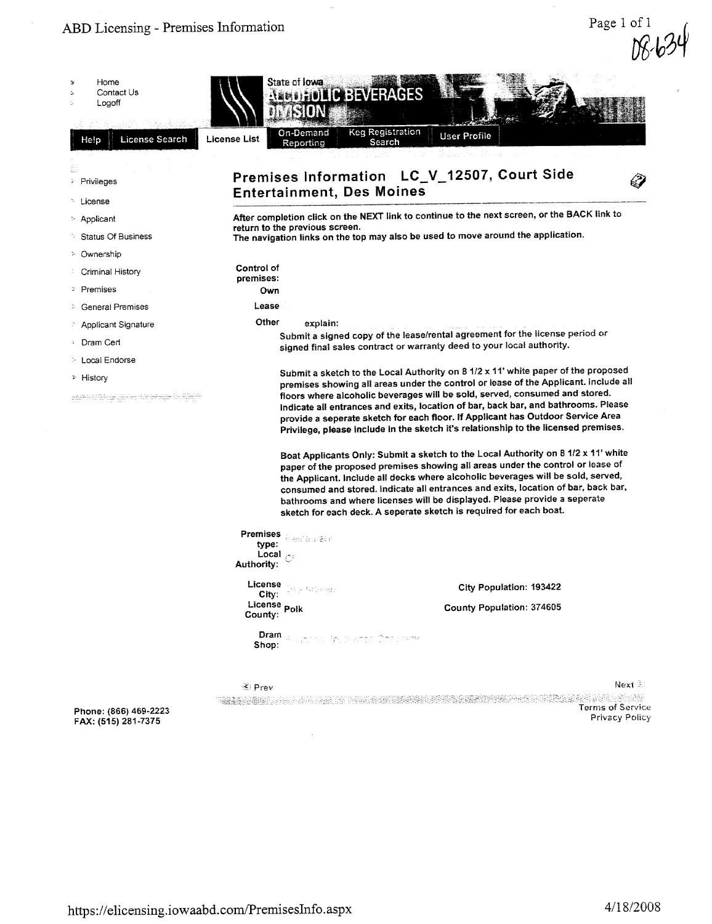|                                                            |                                                                   |                                                                                                                                                                                                                                                                                                                                                                                                                                                                                                 | vv     |
|------------------------------------------------------------|-------------------------------------------------------------------|-------------------------------------------------------------------------------------------------------------------------------------------------------------------------------------------------------------------------------------------------------------------------------------------------------------------------------------------------------------------------------------------------------------------------------------------------------------------------------------------------|--------|
| Home<br>Contact Us<br>Logoff                               | State of Iowa<br><b>ARBOROLIC BEVERAGES</b><br>ASION              |                                                                                                                                                                                                                                                                                                                                                                                                                                                                                                 |        |
| <b>License Search</b><br>Help                              | On-Demand<br><b>License List</b><br>Reporting                     | <b>Keg Registration</b><br><b>User Profile</b><br>Search                                                                                                                                                                                                                                                                                                                                                                                                                                        |        |
| <b>Privileges</b>                                          | <b>Entertainment, Des Moines</b>                                  | Premises Information LC_V_12507, Court Side                                                                                                                                                                                                                                                                                                                                                                                                                                                     |        |
| ™ License<br>$\geq$ Applicant<br><b>Status Of Business</b> | return to the previous screen.                                    | After completion click on the NEXT link to continue to the next screen, or the BACK link to<br>The navigation links on the top may also be used to move around the application.                                                                                                                                                                                                                                                                                                                 |        |
| <sup>5</sup> Ownership<br>Criminal History                 | Control of<br>premises:                                           |                                                                                                                                                                                                                                                                                                                                                                                                                                                                                                 |        |
| <sup>2</sup> Premises<br><b>General Premises</b>           | Own<br>Lease                                                      |                                                                                                                                                                                                                                                                                                                                                                                                                                                                                                 |        |
| <b>Applicant Signature</b>                                 | Other<br>explain:                                                 | Submit a signed copy of the lease/rental agreement for the license period or                                                                                                                                                                                                                                                                                                                                                                                                                    |        |
| Dram Cert<br>> Local Endorse                               |                                                                   | signed final sales contract or warranty deed to your local authority.<br>Submit a sketch to the Local Authority on 8 1/2 x 11' white paper of the proposed                                                                                                                                                                                                                                                                                                                                      |        |
| $\geq$ History<br>alikuwa matu wa matu wa Tanz             |                                                                   | premises showing all areas under the control or lease of the Applicant. Include all<br>floors where alcoholic beverages will be sold, served, consumed and stored.<br>Indicate all entrances and exits, location of bar, back bar, and bathrooms. Please<br>provide a seperate sketch for each floor. If Applicant has Outdoor Service Area<br>Privilege, please include in the sketch it's relationship to the licensed premises.                                                              |        |
|                                                            |                                                                   | Boat Applicants Only: Submit a sketch to the Local Authority on 8 1/2 x 11' white<br>paper of the proposed premises showing all areas under the control or lease of<br>the Applicant. Include all decks where alcoholic beverages will be sold, served,<br>consumed and stored. Indicate all entrances and exits, location of bar, back bar,<br>bathrooms and where licenses will be displayed. Please provide a seperate<br>sketch for each deck. A seperate sketch is required for each boat. |        |
|                                                            | Premises <b>Alexandria</b><br>type:<br>Local<br><b>Authority:</b> |                                                                                                                                                                                                                                                                                                                                                                                                                                                                                                 |        |
|                                                            | License<br>De Si fotonies<br>City:                                | City Population: 193422                                                                                                                                                                                                                                                                                                                                                                                                                                                                         |        |
|                                                            | License <sub>Polk</sub><br>County:                                | County Population: 374605                                                                                                                                                                                                                                                                                                                                                                                                                                                                       |        |
|                                                            | Dram<br>naka ing pikaba Congress<br>Shop:                         |                                                                                                                                                                                                                                                                                                                                                                                                                                                                                                 |        |
|                                                            | iki Prev                                                          |                                                                                                                                                                                                                                                                                                                                                                                                                                                                                                 | Next 3 |
| Phone: (866) 469-2223<br>FAX: (515) 281-7375               | 그분동 동물품이 나는 사람인 그들은 그 마을을 올랐다.                                    | <b>Terms of Service</b><br>Privacy Policy                                                                                                                                                                                                                                                                                                                                                                                                                                                       |        |
|                                                            |                                                                   |                                                                                                                                                                                                                                                                                                                                                                                                                                                                                                 |        |

 $\hat{\phi}$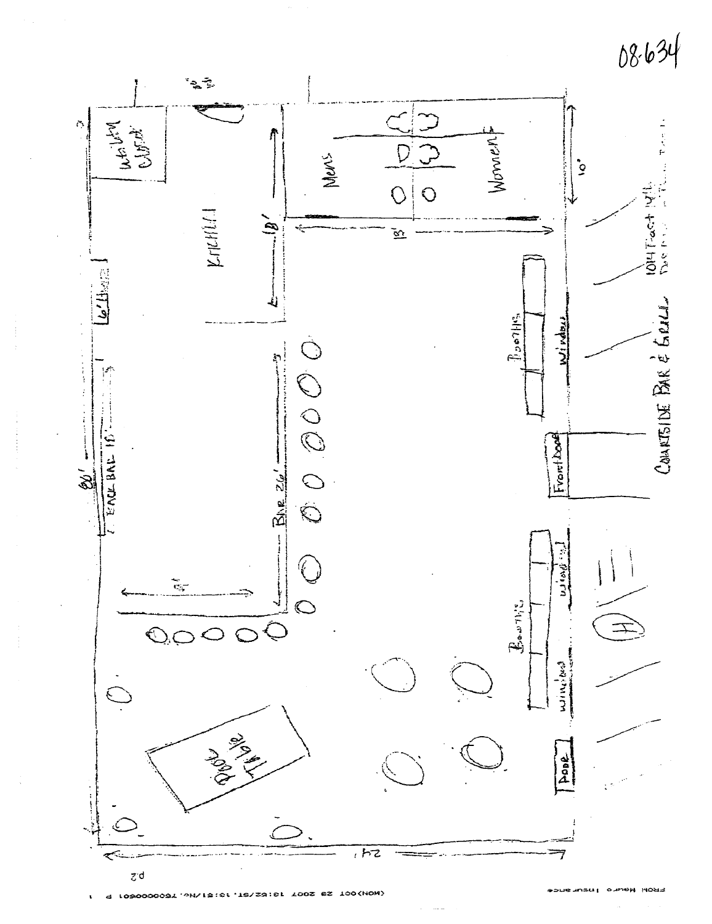

4 1090000091.0H\13:\$f.12\\$3:\$f YOOS 82 100(HOM)

FROM News Insurance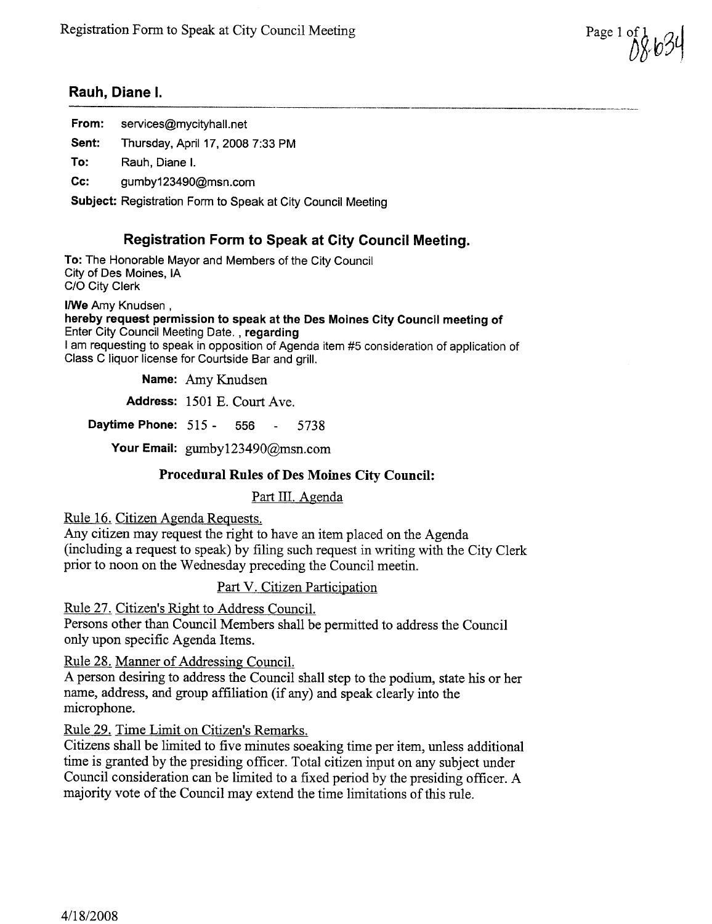Page 1 of  $U U' U U'$ 

## Rauh, Diane I.

| From: | services@mycityhall.net                                            |
|-------|--------------------------------------------------------------------|
| Sent: | Thursday, April 17, 2008 7:33 PM                                   |
| To:   | Rauh, Diane I.                                                     |
| Cc:   | gumby123490@msn.com                                                |
|       | <b>Subject: Registration Form to Speak at City Council Meeting</b> |

## Registration Form to Speak at City Council Meeting.

To: The Honorable Mayor and Members of the City Council City of Des Moines, IA C/O City Clerk

I/We Amy Knudsen, hereby request permission to speak at the Des Moines City Council meeting of Enter City Council Meeting Date, , regarding I am requesting to speak in opposition of Agenda item #5 consideration of application of Class C liquor license for Courtside Bar and grill.

Name: Amy Knudsen

Address: 1501 E. Court Ave.

**Daytime Phone:**  $515 - 556 - 5738$ 

Your Email: gumby123490@msn.com

## Procedural Rules of Des Moines City Council:

Part III. Agenda

Rule 16. Citizen Agenda Requests.

Any citizen may request the right to have an item placed on the Agenda (including a request to speak) by filing such request in wrting with the City Clerk prior to noon on the Wednesday preceding the Council meetin.

## Part V. Citizen Participation

Rule 27. Citizen's Right to Address CounciL.

Persons other than Council Members shall be permitted to address the Council only upon specific Agenda Items.

Rule 28. Maner of Addressing CounciL.

A person desiring to address the Council shall step to the podium, state his or her name, address, and group affiliation (if any) and speak clearly into the microphone.

Rule 29. Time Limit on Citizen's Remarks.

Citizens shall be limited to five minutes soeaking time per item, unless additional time is granted by the presiding officer. Total citizen input on any subject under Council consideration can be limited to a fixed period by the presiding officer. A majority vote of the Council may extend the time limitations of this rule.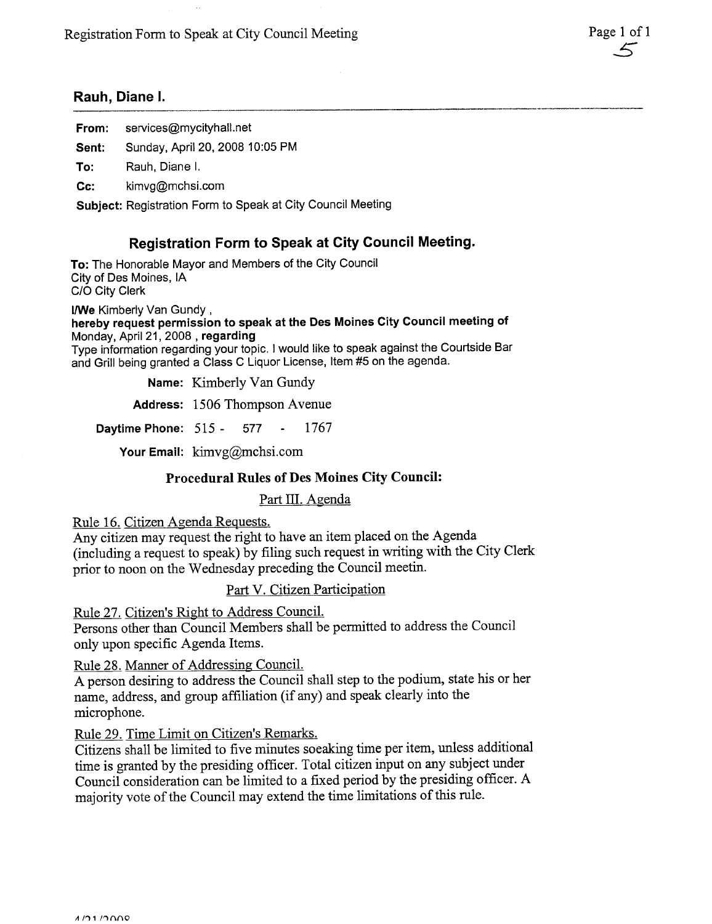## Rauh, Diane i.

| From: | services@mycityhall.net |
|-------|-------------------------|
|-------|-------------------------|

Sent: Sunday, April 20, 2008 10:05 PM

To: Rauh, Diane i.

Cc: kimvg@mchsi.com

Subject: Registration Form to Speak at City Council Meeting

## Registration Form to Speak at City Council Meeting.

To: The Honorable Mayor and Members of the City Council City of Des Moines, IA C/O City Clerk

I/We Kimberly Van Gundy, hereby request permission to speak at the Des Moines City Council meeting of Monday, April 21,2008 , regarding Type information regarding your topic. I would like to speak against the Courtside Bar and Gril being granted a Class C Liquor License, Item #5 on the agenda.

Name: Kimberly Van Gundy

Address: 1506 Thompson Avenue

Daytime Phone:  $515 - 577 - 1767$ 

Your Email:  $\lim_{x \to \infty} \log(a)$ mchsi.com

## Procedural Rules of Des Moines City Council:

Part III. Agenda

Rule 16. Citizen Agenda Requests.

Any citizen may request the right to have an item placed on the Agenda (including a request to speak) by filing such request in wrting with the City Clerk prior to noon on the Wednesday preceding the Council meetin.

Part V. Citizen Participation

Rule 27. Citizen's Right to Address CounciL.

Persons other than Council Members shall be permitted to address the Council only upon specific Agenda Items.

Rule 28. Manner of Addressing CounciL.

A person desiring to address the Council shall step to the podium, state his or her name, address, and group affliation (if any) and speak clearly into the microphone.

Rule 29. Time Limit on Citizen's Remarks.

Citizens shall be limited to five minutes soeaking time per item, unless additional time is granted by the presiding officer. Total citizen input on any subject under Council consideration can be limited to a fixed period by the presiding officer. A majority vote of the Council may extend the time limitations of this rule.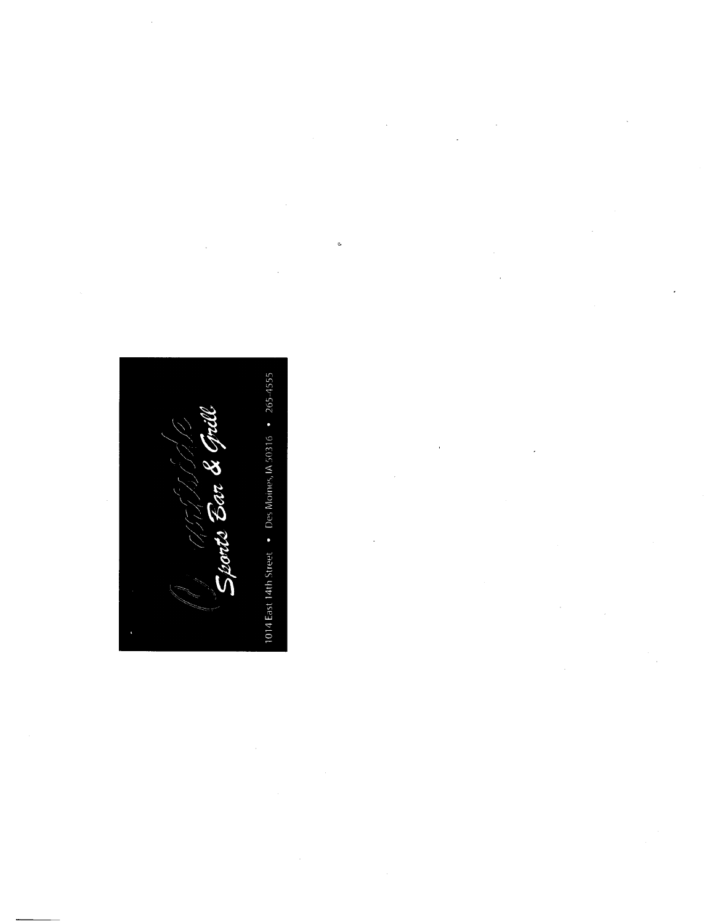1014 East 14th Street • Des Moines, IA 50316 • 265-4555 Sports Bar & Gr

 $\ddot{\phantom{0}}$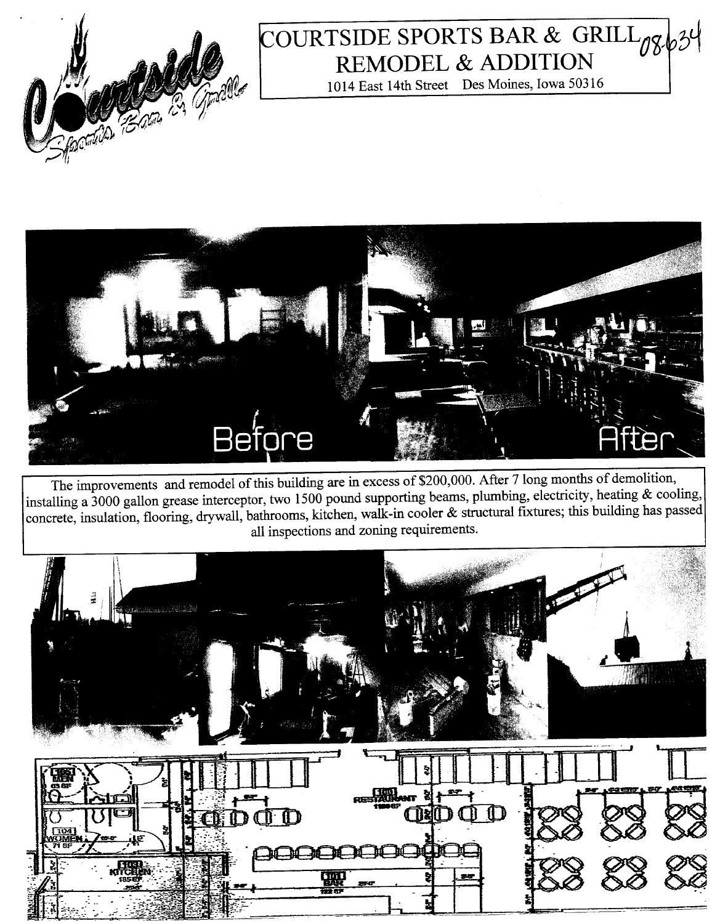

## COURTSIDE SPORTS BAR & GRILL 08. REMODEL & ADDITION

1014 East 14th Street Des Moines, Iowa 50316



The improvements and remodel of this building are in excess of \$200,000. After 7 long months of demolition, installing a 3000 gallon grease interceptor, two 1500 pound supporting beams, plumbing, electricity, heating & cooling, concrete, insulation, flooring, drywall, bathrooms, kitchen, walk-in cooler & structural fixtures; this building has passed all inspections and zonig requirements.

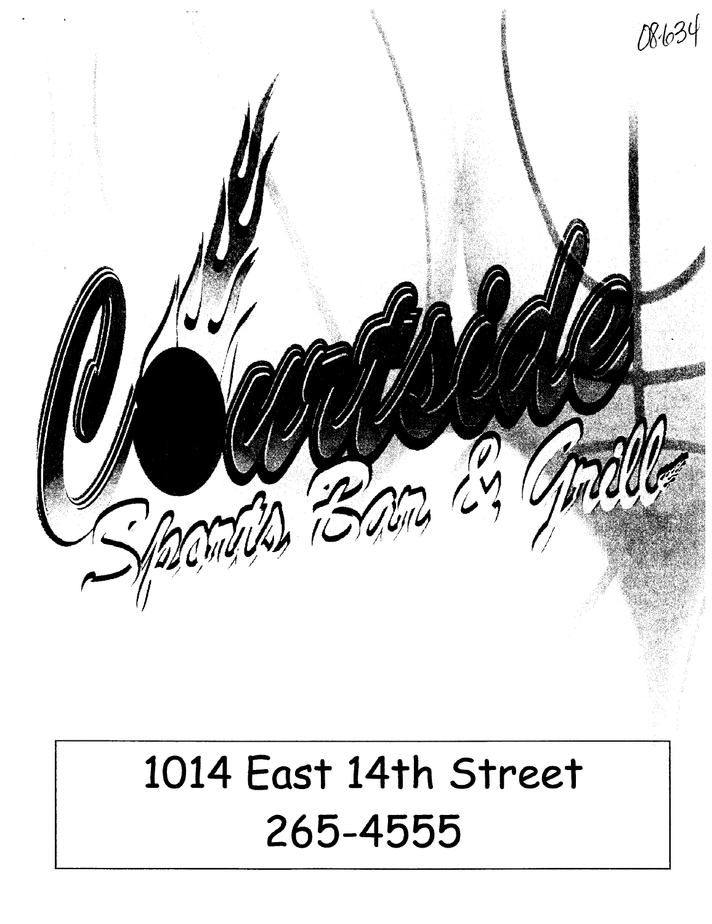

# 1014 East 14th Street 265-4555